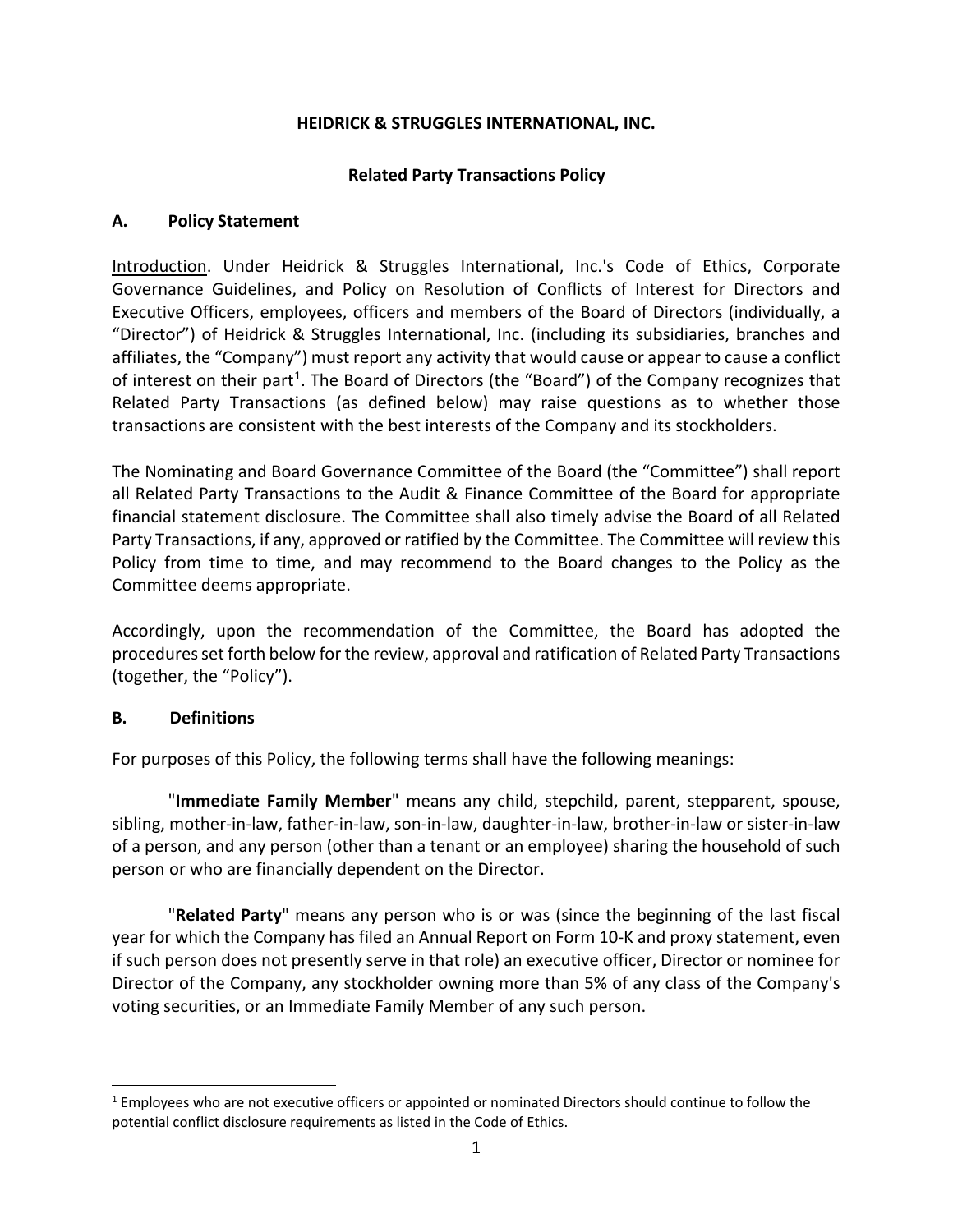### **HEIDRICK & STRUGGLES INTERNATIONAL, INC.**

### **Related Party Transactions Policy**

#### **A. Policy Statement**

Introduction. Under Heidrick & Struggles International, Inc.'s Code of Ethics, Corporate Governance Guidelines, and Policy on Resolution of Conflicts of Interest for Directors and Executive Officers, employees, officers and members of the Board of Directors (individually, a "Director") of Heidrick & Struggles International, Inc. (including its subsidiaries, branches and affiliates, the "Company") must report any activity that would cause or appear to cause a conflict of interest on their part<sup>[1](#page-0-0)</sup>. The Board of Directors (the "Board") of the Company recognizes that Related Party Transactions (as defined below) may raise questions as to whether those transactions are consistent with the best interests of the Company and its stockholders.

The Nominating and Board Governance Committee of the Board (the "Committee") shall report all Related Party Transactions to the Audit & Finance Committee of the Board for appropriate financial statement disclosure. The Committee shall also timely advise the Board of all Related Party Transactions, if any, approved or ratified by the Committee. The Committee will review this Policy from time to time, and may recommend to the Board changes to the Policy as the Committee deems appropriate.

Accordingly, upon the recommendation of the Committee, the Board has adopted the procedures set forth below for the review, approval and ratification of Related Party Transactions (together, the "Policy").

#### **B. Definitions**

For purposes of this Policy, the following terms shall have the following meanings:

"**Immediate Family Member**" means any child, stepchild, parent, stepparent, spouse, sibling, mother-in-law, father-in-law, son-in-law, daughter-in-law, brother-in-law or sister-in-law of a person, and any person (other than a tenant or an employee) sharing the household of such person or who are financially dependent on the Director.

"**Related Party**" means any person who is or was (since the beginning of the last fiscal year for which the Company has filed an Annual Report on Form 10-K and proxy statement, even if such person does not presently serve in that role) an executive officer, Director or nominee for Director of the Company, any stockholder owning more than 5% of any class of the Company's voting securities, or an Immediate Family Member of any such person.

<span id="page-0-0"></span><sup>1</sup> Employees who are not executive officers or appointed or nominated Directors should continue to follow the potential conflict disclosure requirements as listed in the Code of Ethics.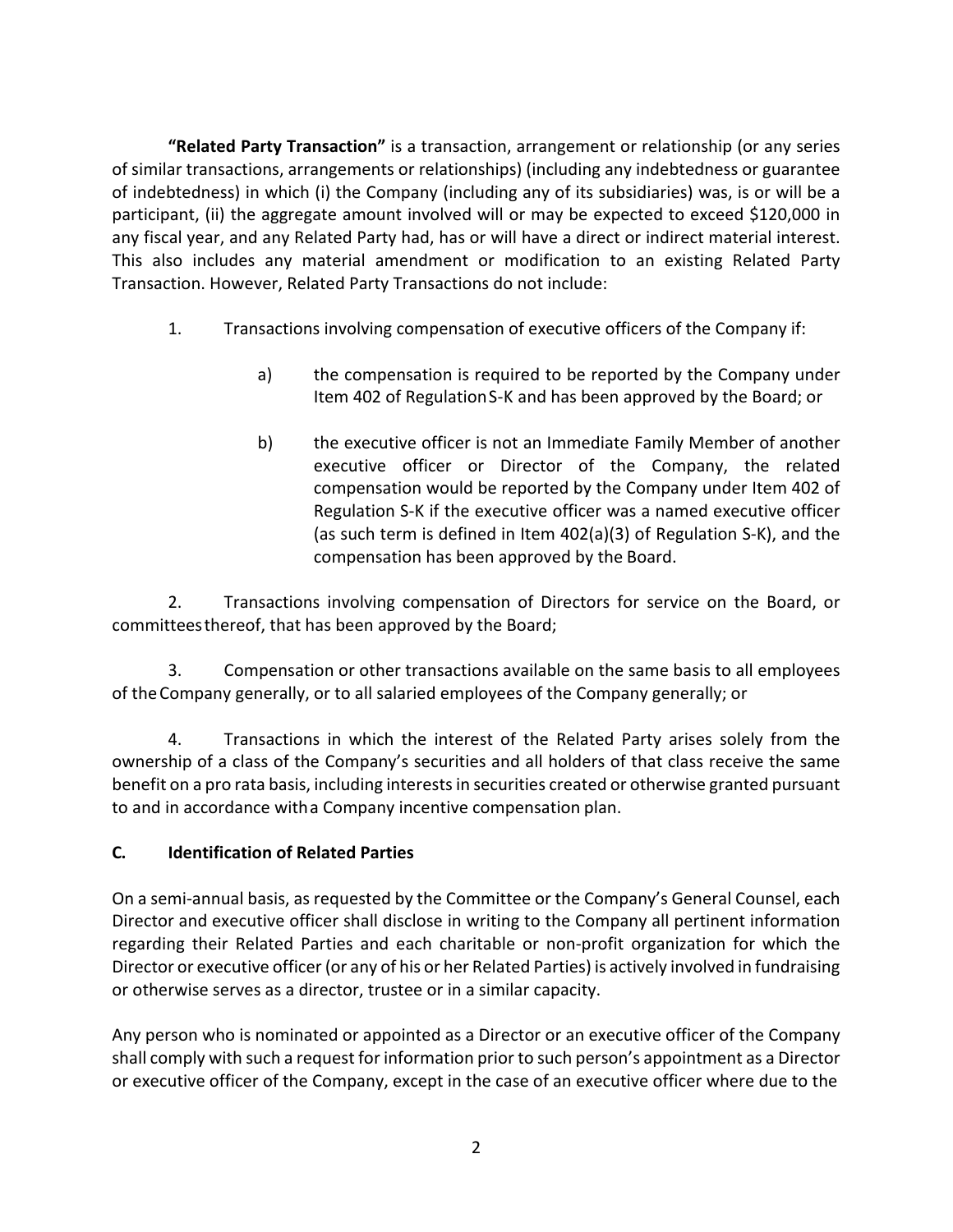**"Related Party Transaction"** is a transaction, arrangement or relationship (or any series of similar transactions, arrangements or relationships) (including any indebtedness or guarantee of indebtedness) in which (i) the Company (including any of its subsidiaries) was, is or will be a participant, (ii) the aggregate amount involved will or may be expected to exceed \$120,000 in any fiscal year, and any Related Party had, has or will have a direct or indirect material interest. This also includes any material amendment or modification to an existing Related Party Transaction. However, Related Party Transactions do not include:

- 1. Transactions involving compensation of executive officers of the Company if:
	- a) the compensation is required to be reported by the Company under Item 402 of RegulationS-K and has been approved by the Board; or
	- b) the executive officer is not an Immediate Family Member of another executive officer or Director of the Company, the related compensation would be reported by the Company under Item 402 of Regulation S-K if the executive officer was a named executive officer (as such term is defined in Item 402(a)(3) of Regulation S-K), and the compensation has been approved by the Board.

2. Transactions involving compensation of Directors for service on the Board, or committeesthereof, that has been approved by the Board;

3. Compensation or other transactions available on the same basis to all employees of theCompany generally, or to all salaried employees of the Company generally; or

4. Transactions in which the interest of the Related Party arises solely from the ownership of a class of the Company's securities and all holders of that class receive the same benefit on a pro rata basis, including interests in securities created or otherwise granted pursuant to and in accordance witha Company incentive compensation plan.

# **C. Identification of Related Parties**

On a semi-annual basis, as requested by the Committee or the Company's General Counsel, each Director and executive officer shall disclose in writing to the Company all pertinent information regarding their Related Parties and each charitable or non-profit organization for which the Director or executive officer (or any of his or her Related Parties) is actively involved in fundraising or otherwise serves as a director, trustee or in a similar capacity.

Any person who is nominated or appointed as a Director or an executive officer of the Company shall comply with such a request for information prior to such person's appointment as a Director or executive officer of the Company, except in the case of an executive officer where due to the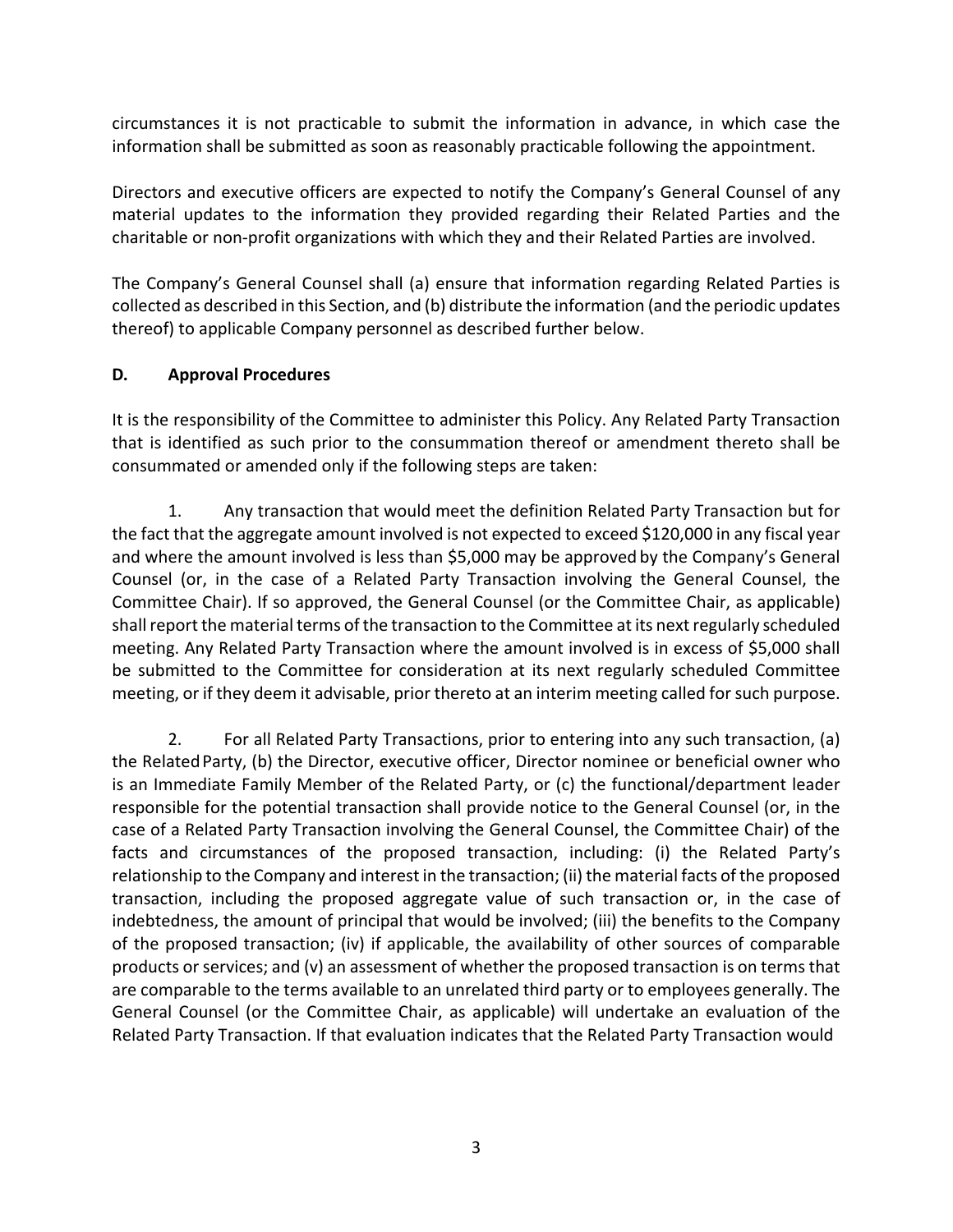circumstances it is not practicable to submit the information in advance, in which case the information shall be submitted as soon as reasonably practicable following the appointment.

Directors and executive officers are expected to notify the Company's General Counsel of any material updates to the information they provided regarding their Related Parties and the charitable or non-profit organizations with which they and their Related Parties are involved.

The Company's General Counsel shall (a) ensure that information regarding Related Parties is collected as described in this Section, and (b) distribute the information (and the periodic updates thereof) to applicable Company personnel as described further below.

## **D. Approval Procedures**

It is the responsibility of the Committee to administer this Policy. Any Related Party Transaction that is identified as such prior to the consummation thereof or amendment thereto shall be consummated or amended only if the following steps are taken:

1. Any transaction that would meet the definition Related Party Transaction but for the fact that the aggregate amount involved is not expected to exceed \$120,000 in any fiscal year and where the amount involved is less than \$5,000 may be approved by the Company's General Counsel (or, in the case of a Related Party Transaction involving the General Counsel, the Committee Chair). If so approved, the General Counsel (or the Committee Chair, as applicable) shall report the material terms of the transaction to the Committee at its next regularly scheduled meeting. Any Related Party Transaction where the amount involved is in excess of \$5,000 shall be submitted to the Committee for consideration at its next regularly scheduled Committee meeting, or if they deem it advisable, prior thereto at an interim meeting called for such purpose.

2. For all Related Party Transactions, prior to entering into any such transaction, (a) the RelatedParty, (b) the Director, executive officer, Director nominee or beneficial owner who is an Immediate Family Member of the Related Party, or (c) the functional/department leader responsible for the potential transaction shall provide notice to the General Counsel (or, in the case of a Related Party Transaction involving the General Counsel, the Committee Chair) of the facts and circumstances of the proposed transaction, including: (i) the Related Party's relationship to the Company and interest in the transaction; (ii) the material facts of the proposed transaction, including the proposed aggregate value of such transaction or, in the case of indebtedness, the amount of principal that would be involved; (iii) the benefits to the Company of the proposed transaction; (iv) if applicable, the availability of other sources of comparable products or services; and (v) an assessment of whether the proposed transaction is on terms that are comparable to the terms available to an unrelated third party or to employees generally. The General Counsel (or the Committee Chair, as applicable) will undertake an evaluation of the Related Party Transaction. If that evaluation indicates that the Related Party Transaction would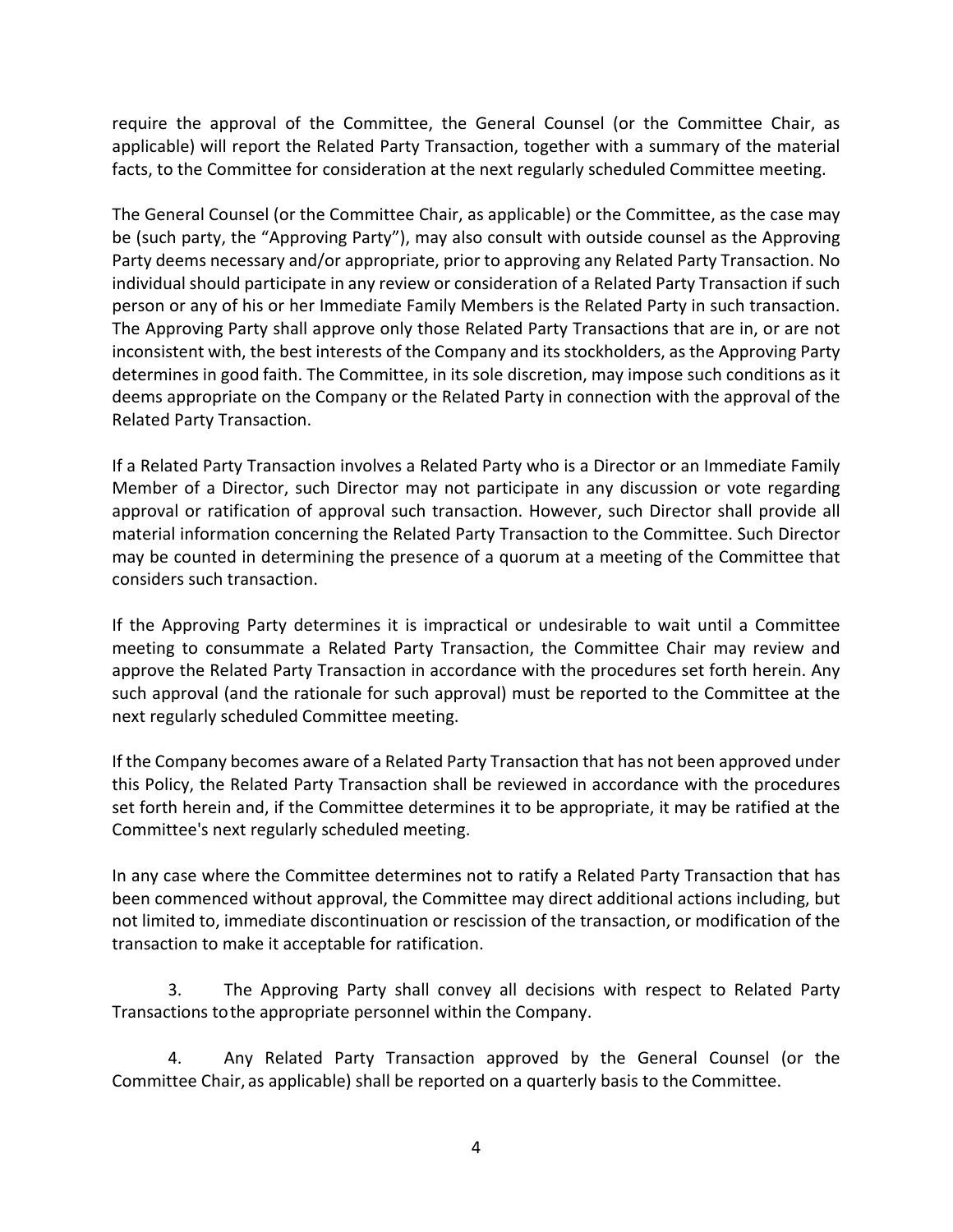require the approval of the Committee, the General Counsel (or the Committee Chair, as applicable) will report the Related Party Transaction, together with a summary of the material facts, to the Committee for consideration at the next regularly scheduled Committee meeting.

The General Counsel (or the Committee Chair, as applicable) or the Committee, as the case may be (such party, the "Approving Party"), may also consult with outside counsel as the Approving Party deems necessary and/or appropriate, prior to approving any Related Party Transaction. No individual should participate in any review or consideration of a Related Party Transaction if such person or any of his or her Immediate Family Members is the Related Party in such transaction. The Approving Party shall approve only those Related Party Transactions that are in, or are not inconsistent with, the best interests of the Company and its stockholders, as the Approving Party determines in good faith. The Committee, in its sole discretion, may impose such conditions as it deems appropriate on the Company or the Related Party in connection with the approval of the Related Party Transaction.

If a Related Party Transaction involves a Related Party who is a Director or an Immediate Family Member of a Director, such Director may not participate in any discussion or vote regarding approval or ratification of approval such transaction. However, such Director shall provide all material information concerning the Related Party Transaction to the Committee. Such Director may be counted in determining the presence of a quorum at a meeting of the Committee that considers such transaction.

If the Approving Party determines it is impractical or undesirable to wait until a Committee meeting to consummate a Related Party Transaction, the Committee Chair may review and approve the Related Party Transaction in accordance with the procedures set forth herein. Any such approval (and the rationale for such approval) must be reported to the Committee at the next regularly scheduled Committee meeting.

If the Company becomes aware of a Related Party Transaction that has not been approved under this Policy, the Related Party Transaction shall be reviewed in accordance with the procedures set forth herein and, if the Committee determines it to be appropriate, it may be ratified at the Committee's next regularly scheduled meeting.

In any case where the Committee determines not to ratify a Related Party Transaction that has been commenced without approval, the Committee may direct additional actions including, but not limited to, immediate discontinuation or rescission of the transaction, or modification of the transaction to make it acceptable for ratification.

3. The Approving Party shall convey all decisions with respect to Related Party Transactions tothe appropriate personnel within the Company.

4. Any Related Party Transaction approved by the General Counsel (or the Committee Chair, as applicable) shall be reported on a quarterly basis to the Committee.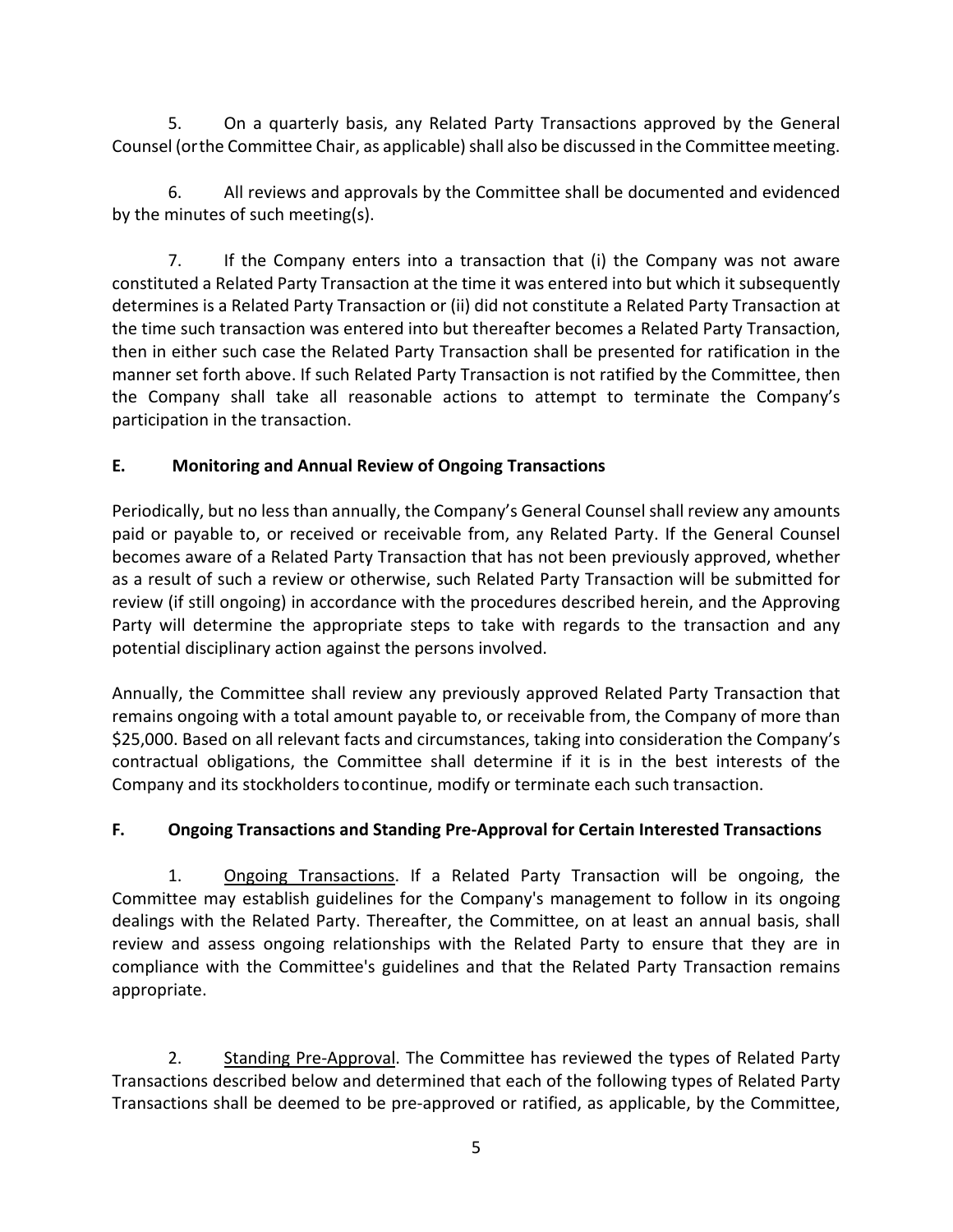5. On a quarterly basis, any Related Party Transactions approved by the General Counsel (orthe Committee Chair, as applicable) shall also be discussed in the Committeemeeting.

6. All reviews and approvals by the Committee shall be documented and evidenced by the minutes of such meeting(s).

7. If the Company enters into a transaction that (i) the Company was not aware constituted a Related Party Transaction at the time it was entered into but which it subsequently determines is a Related Party Transaction or (ii) did not constitute a Related Party Transaction at the time such transaction was entered into but thereafter becomes a Related Party Transaction, then in either such case the Related Party Transaction shall be presented for ratification in the manner set forth above. If such Related Party Transaction is not ratified by the Committee, then the Company shall take all reasonable actions to attempt to terminate the Company's participation in the transaction.

# **E. Monitoring and Annual Review of Ongoing Transactions**

Periodically, but no less than annually, the Company's General Counsel shall review any amounts paid or payable to, or received or receivable from, any Related Party. If the General Counsel becomes aware of a Related Party Transaction that has not been previously approved, whether as a result of such a review or otherwise, such Related Party Transaction will be submitted for review (if still ongoing) in accordance with the procedures described herein, and the Approving Party will determine the appropriate steps to take with regards to the transaction and any potential disciplinary action against the persons involved.

Annually, the Committee shall review any previously approved Related Party Transaction that remains ongoing with a total amount payable to, or receivable from, the Company of more than \$25,000. Based on all relevant facts and circumstances, taking into consideration the Company's contractual obligations, the Committee shall determine if it is in the best interests of the Company and its stockholders tocontinue, modify or terminate each such transaction.

# **F. Ongoing Transactions and Standing Pre-Approval for Certain Interested Transactions**

1. Ongoing Transactions. If a Related Party Transaction will be ongoing, the Committee may establish guidelines for the Company's management to follow in its ongoing dealings with the Related Party. Thereafter, the Committee, on at least an annual basis, shall review and assess ongoing relationships with the Related Party to ensure that they are in compliance with the Committee's guidelines and that the Related Party Transaction remains appropriate.

2. Standing Pre-Approval. The Committee has reviewed the types of Related Party Transactions described below and determined that each of the following types of Related Party Transactions shall be deemed to be pre-approved or ratified, as applicable, by the Committee,